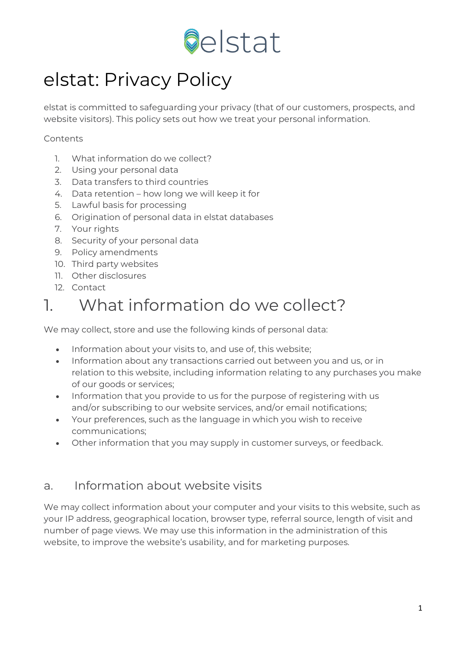

# elstat: Privacy Policy

elstat is committed to safeguarding your privacy (that of our customers, prospects, and website visitors). This policy sets out how we treat your personal information.

#### Contents

- 1. What information do we collect?
- 2. Using your personal data
- 3. Data transfers to third countries
- 4. Data retention how long we will keep it for
- 5. Lawful basis for processing
- 6. Origination of personal data in elstat databases
- 7. Your rights
- 8. Security of your personal data
- 9. Policy amendments
- 10. Third party websites
- 11. Other disclosures
- 12. Contact

#### 1. What information do we collect?

We may collect, store and use the following kinds of personal data:

- Information about your visits to, and use of, this website;
- Information about any transactions carried out between you and us, or in relation to this website, including information relating to any purchases you make of our goods or services;
- Information that you provide to us for the purpose of registering with us and/or subscribing to our website services, and/or email notifications;
- Your preferences, such as the language in which you wish to receive communications;
- Other information that you may supply in customer surveys, or feedback.

#### a. Information about website visits

We may collect information about your computer and your visits to this website, such as your IP address, geographical location, browser type, referral source, length of visit and number of page views. We may use this information in the administration of this website, to improve the website's usability, and for marketing purposes.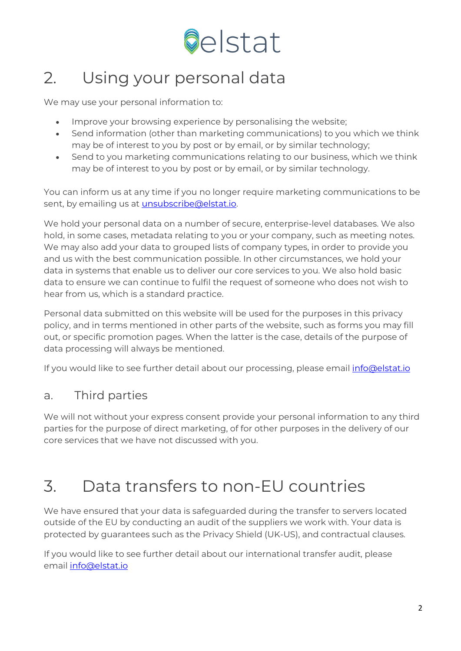

#### 2. Using your personal data

We may use your personal information to:

- Improve your browsing experience by personalising the website;
- Send information (other than marketing communications) to you which we think may be of interest to you by post or by email, or by similar technology;
- Send to you marketing communications relating to our business, which we think may be of interest to you by post or by email, or by similar technology.

You can inform us at any time if you no longer require marketing communications to be sent, by emailing us at **unsubscribe@elstat.io**.

We hold your personal data on a number of secure, enterprise-level databases. We also hold, in some cases, metadata relating to you or your company, such as meeting notes. We may also add your data to grouped lists of company types, in order to provide you and us with the best communication possible. In other circumstances, we hold your data in systems that enable us to deliver our core services to you. We also hold basic data to ensure we can continue to fulfil the request of someone who does not wish to hear from us, which is a standard practice.

Personal data submitted on this website will be used for the purposes in this privacy policy, and in terms mentioned in other parts of the website, such as forms you may fill out, or specific promotion pages. When the latter is the case, details of the purpose of data processing will always be mentioned.

If you would like to see further detail about our processing, please email [info@elstat.io](mailto:info@elstat.io)

#### a. Third parties

We will not without your express consent provide your personal information to any third parties for the purpose of direct marketing, of for other purposes in the delivery of our core services that we have not discussed with you.

#### 3. Data transfers to non-EU countries

We have ensured that your data is safeguarded during the transfer to servers located outside of the EU by conducting an audit of the suppliers we work with. Your data is protected by guarantees such as the Privacy Shield (UK-US), and contractual clauses.

If you would like to see further detail about our international transfer audit, please email [info@elstat.io](mailto:info@elstat.io)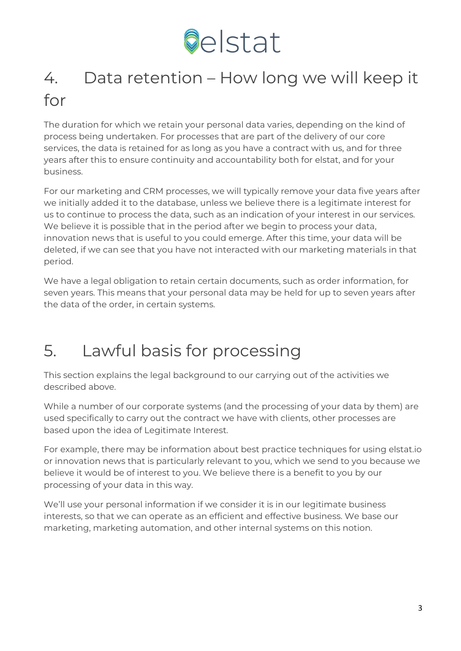

# 4. Data retention – How long we will keep it for

The duration for which we retain your personal data varies, depending on the kind of process being undertaken. For processes that are part of the delivery of our core services, the data is retained for as long as you have a contract with us, and for three years after this to ensure continuity and accountability both for elstat, and for your business.

For our marketing and CRM processes, we will typically remove your data five years after we initially added it to the database, unless we believe there is a legitimate interest for us to continue to process the data, such as an indication of your interest in our services. We believe it is possible that in the period after we begin to process your data, innovation news that is useful to you could emerge. After this time, your data will be deleted, if we can see that you have not interacted with our marketing materials in that period.

We have a legal obligation to retain certain documents, such as order information, for seven years. This means that your personal data may be held for up to seven years after the data of the order, in certain systems.

#### 5. Lawful basis for processing

This section explains the legal background to our carrying out of the activities we described above.

While a number of our corporate systems (and the processing of your data by them) are used specifically to carry out the contract we have with clients, other processes are based upon the idea of Legitimate Interest.

For example, there may be information about best practice techniques for using elstat.io or innovation news that is particularly relevant to you, which we send to you because we believe it would be of interest to you. We believe there is a benefit to you by our processing of your data in this way.

We'll use your personal information if we consider it is in our legitimate business interests, so that we can operate as an efficient and effective business. We base our marketing, marketing automation, and other internal systems on this notion.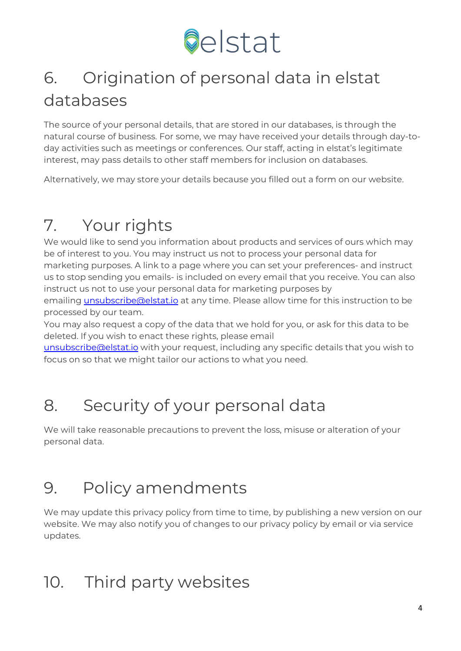

## 6. Origination of personal data in elstat databases

The source of your personal details, that are stored in our databases, is through the natural course of business. For some, we may have received your details through day-today activities such as meetings or conferences. Our staff, acting in elstat's legitimate interest, may pass details to other staff members for inclusion on databases.

Alternatively, we may store your details because you filled out a form on our website.

## 7. Your rights

We would like to send you information about products and services of ours which may be of interest to you. You may instruct us not to process your personal data for marketing purposes. A link to a page where you can set your preferences- and instruct us to stop sending you emails- is included on every email that you receive. You can also instruct us not to use your personal data for marketing purposes by emailing [unsubscribe@elstat.io](mailto:unsubscribe@elstat.io) at any time. Please allow time for this instruction to be processed by our team.

You may also request a copy of the data that we hold for you, or ask for this data to be deleted. If you wish to enact these rights, please email

[unsubscribe@elstat.io](mailto:unsubscribe@elstat.io) with your request, including any specific details that you wish to focus on so that we might tailor our actions to what you need.

## 8. Security of your personal data

We will take reasonable precautions to prevent the loss, misuse or alteration of your personal data.

#### 9. Policy amendments

We may update this privacy policy from time to time, by publishing a new version on our website. We may also notify you of changes to our privacy policy by email or via service updates.

#### 10. Third party websites